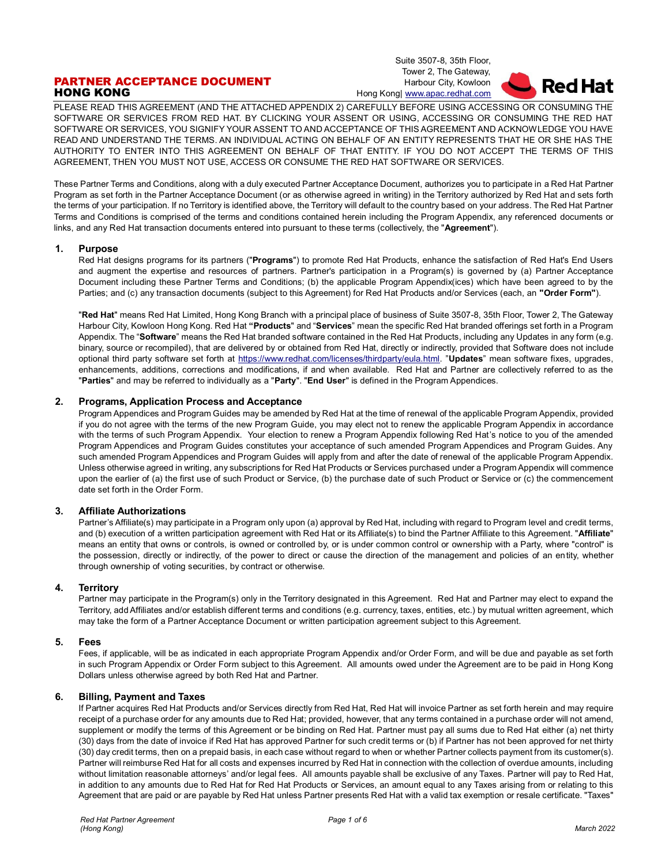# PARTNER ACCEPTANCE DOCUMENT HONG KONG

Suite 3507-8, 35th Floor, Tower 2, The Gateway, Harbour City, Kowloon Hong Kong| [www.apac.redhat.com](http://www.redhat.com/)



PLEASE READ THIS AGREEMENT (AND THE ATTACHED APPENDIX 2) CAREFULLY BEFORE USING ACCESSING OR CONSUMING THE SOFTWARE OR SERVICES FROM RED HAT. BY CLICKING YOUR ASSENT OR USING, ACCESSING OR CONSUMING THE RED HAT SOFTWARE OR SERVICES, YOU SIGNIFY YOUR ASSENT TO AND ACCEPTANCE OF THIS AGREEMENT AND ACKNOWLEDGE YOU HAVE READ AND UNDERSTAND THE TERMS. AN INDIVIDUAL ACTING ON BEHALF OF AN ENTITY REPRESENTS THAT HE OR SHE HAS THE AUTHORITY TO ENTER INTO THIS AGREEMENT ON BEHALF OF THAT ENTITY. IF YOU DO NOT ACCEPT THE TERMS OF THIS AGREEMENT, THEN YOU MUST NOT USE, ACCESS OR CONSUME THE RED HAT SOFTWARE OR SERVICES.

These Partner Terms and Conditions, along with a duly executed Partner Acceptance Document, authorizes you to participate in a Red Hat Partner Program as set forth in the Partner Acceptance Document (or as otherwise agreed in writing) in the Territory authorized by Red Hat and sets forth the terms of your participation. If no Territory is identified above, the Territory will default to the country based on your address. The Red Hat Partner Terms and Conditions is comprised of the terms and conditions contained herein including the Program Appendix, any referenced documents or links, and any Red Hat transaction documents entered into pursuant to these terms (collectively, the "**Agreement**").

#### **1. Purpose**

Red Hat designs programs for its partners ("**Programs**") to promote Red Hat Products, enhance the satisfaction of Red Hat's End Users and augment the expertise and resources of partners. Partner's participation in a Program(s) is governed by (a) Partner Acceptance Document including these Partner Terms and Conditions; (b) the applicable Program Appendix(ices) which have been agreed to by the Parties; and (c) any transaction documents (subject to this Agreement) for Red Hat Products and/or Services (each, an **"Order Form"**).

"**Red Hat**" means Red Hat Limited, Hong Kong Branch with a principal place of business of Suite 3507-8, 35th Floor, Tower 2, The Gateway Harbour City, Kowloon Hong Kong. Red Hat **"Products**" and "**Services**" mean the specific Red Hat branded offerings set forth in a Program Appendix. The "**Software**" means the Red Hat branded software contained in the Red Hat Products, including any Updates in any form (e.g. binary, source or recompiled), that are delivered by or obtained from Red Hat, directly or indirectly, provided that Software does not include optional third party software set forth at [https://www.redhat.com/licenses/thirdparty/eula.html.](https://www.redhat.com/licenses/thirdparty/eula.html) "**Updates**" mean software fixes, upgrades, enhancements, additions, corrections and modifications, if and when available. Red Hat and Partner are collectively referred to as the "**Parties**" and may be referred to individually as a "**Party**". "**End User**" is defined in the Program Appendices.

# **2. Programs, Application Process and Acceptance**

Program Appendices and Program Guides may be amended by Red Hat at the time of renewal of the applicable Program Appendix, provided if you do not agree with the terms of the new Program Guide, you may elect not to renew the applicable Program Appendix in accordance with the terms of such Program Appendix. Your election to renew a Program Appendix following Red Hat's notice to you of the amended Program Appendices and Program Guides constitutes your acceptance of such amended Program Appendices and Program Guides. Any such amended Program Appendices and Program Guides will apply from and after the date of renewal of the applicable Program Appendix. Unless otherwise agreed in writing, any subscriptions for Red Hat Products or Services purchased under a Program Appendix will commence upon the earlier of (a) the first use of such Product or Service, (b) the purchase date of such Product or Service or (c) the commencement date set forth in the Order Form.

#### **3. Affiliate Authorizations**

Partner's Affiliate(s) may participate in a Program only upon (a) approval by Red Hat, including with regard to Program level and credit terms, and (b) execution of a written participation agreement with Red Hat or its Affiliate(s) to bind the Partner Affiliate to this Agreement. "**Affiliate**" means an entity that owns or controls, is owned or controlled by, or is under common control or ownership with a Party, where "control" is the possession, directly or indirectly, of the power to direct or cause the direction of the management and policies of an entity, whether through ownership of voting securities, by contract or otherwise.

#### **4. Territory**

Partner may participate in the Program(s) only in the Territory designated in this Agreement. Red Hat and Partner may elect to expand the Territory, add Affiliates and/or establish different terms and conditions (e.g. currency, taxes, entities, etc.) by mutual written agreement, which may take the form of a Partner Acceptance Document or written participation agreement subject to this Agreement.

## **5. Fees**

Fees, if applicable, will be as indicated in each appropriate Program Appendix and/or Order Form, and will be due and payable as set forth in such Program Appendix or Order Form subject to this Agreement. All amounts owed under the Agreement are to be paid in Hong Kong Dollars unless otherwise agreed by both Red Hat and Partner.

# **6. Billing, Payment and Taxes**

If Partner acquires Red Hat Products and/or Services directly from Red Hat, Red Hat will invoice Partner as set forth herein and may require receipt of a purchase order for any amounts due to Red Hat; provided, however, that any terms contained in a purchase order will not amend, supplement or modify the terms of this Agreement or be binding on Red Hat. Partner must pay all sums due to Red Hat either (a) net thirty (30) days from the date of invoice if Red Hat has approved Partner for such credit terms or (b) if Partner has not been approved for net thirty (30) day credit terms, then on a prepaid basis, in each case without regard to when or whether Partner collects payment from its customer(s). Partner will reimburse Red Hat for all costs and expenses incurred by Red Hat in connection with the collection of overdue amounts, including without limitation reasonable attorneys' and/or legal fees. All amounts payable shall be exclusive of any Taxes. Partner will pay to Red Hat, in addition to any amounts due to Red Hat for Red Hat Products or Services, an amount equal to any Taxes arising from or relating to this Agreement that are paid or are payable by Red Hat unless Partner presents Red Hat with a valid tax exemption or resale certificate. "Taxes"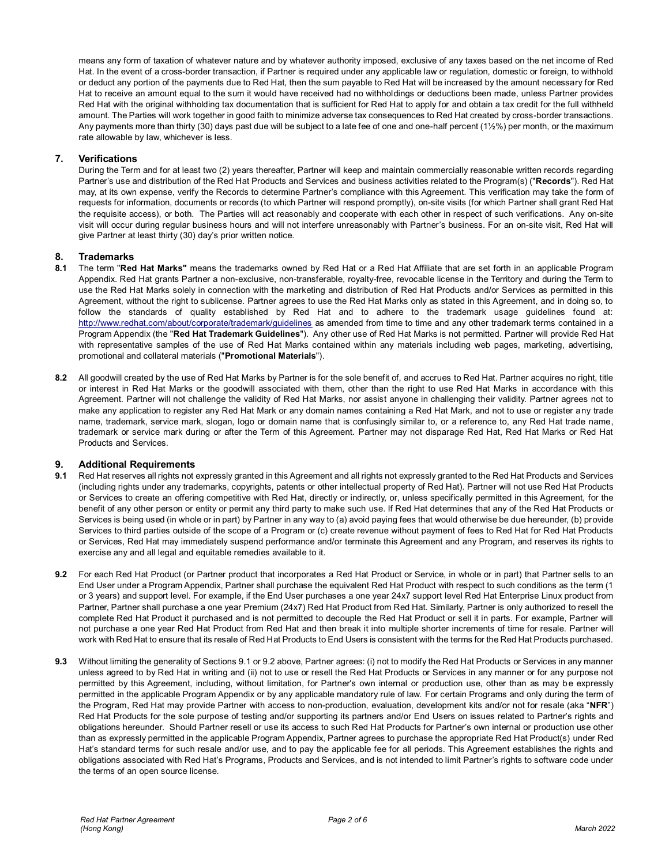means any form of taxation of whatever nature and by whatever authority imposed, exclusive of any taxes based on the net income of Red Hat. In the event of a cross-border transaction, if Partner is required under any applicable law or regulation, domestic or foreign, to withhold or deduct any portion of the payments due to Red Hat, then the sum payable to Red Hat will be increased by the amount necessary for Red Hat to receive an amount equal to the sum it would have received had no withholdings or deductions been made, unless Partner provides Red Hat with the original withholding tax documentation that is sufficient for Red Hat to apply for and obtain a tax credit for the full withheld amount. The Parties will work together in good faith to minimize adverse tax consequences to Red Hat created by cross-border transactions. Any payments more than thirty (30) days past due will be subject to a late fee of one and one-half percent (1½%) per month, or the maximum rate allowable by law, whichever is less.

## **7. Verifications**

During the Term and for at least two (2) years thereafter, Partner will keep and maintain commercially reasonable written records regarding Partner's use and distribution of the Red Hat Products and Services and business activities related to the Program(s) ("**Records**"). Red Hat may, at its own expense, verify the Records to determine Partner's compliance with this Agreement. This verification may take the form of requests for information, documents or records (to which Partner will respond promptly), on-site visits (for which Partner shall grant Red Hat the requisite access), or both. The Parties will act reasonably and cooperate with each other in respect of such verifications. Any on-site visit will occur during regular business hours and will not interfere unreasonably with Partner's business. For an on-site visit, Red Hat will give Partner at least thirty (30) day's prior written notice.

#### **8. Trademarks**

- **8.1** The term "**Red Hat Marks"** means the trademarks owned by Red Hat or a Red Hat Affiliate that are set forth in an applicable Program Appendix. Red Hat grants Partner a non-exclusive, non-transferable, royalty-free, revocable license in the Territory and during the Term to use the Red Hat Marks solely in connection with the marketing and distribution of Red Hat Products and/or Services as permitted in this Agreement, without the right to sublicense. Partner agrees to use the Red Hat Marks only as stated in this Agreement, and in doing so, to follow the standards of quality established by Red Hat and to adhere to the trademark usage guidelines found at: <http://www.redhat.com/about/corporate/trademark/guidelines> as amended from time to time and any other trademark terms contained in a Program Appendix (the "**Red Hat Trademark Guidelines**"). Any other use of Red Hat Marks is not permitted. Partner will provide Red Hat with representative samples of the use of Red Hat Marks contained within any materials including web pages, marketing, advertising, promotional and collateral materials ("**Promotional Materials**").
- **8.2** All goodwill created by the use of Red Hat Marks by Partner is for the sole benefit of, and accrues to Red Hat. Partner acquires no right, title or interest in Red Hat Marks or the goodwill associated with them, other than the right to use Red Hat Marks in accordance with this Agreement. Partner will not challenge the validity of Red Hat Marks, nor assist anyone in challenging their validity. Partner agrees not to make any application to register any Red Hat Mark or any domain names containing a Red Hat Mark, and not to use or register any trade name, trademark, service mark, slogan, logo or domain name that is confusingly similar to, or a reference to, any Red Hat trade name, trademark or service mark during or after the Term of this Agreement. Partner may not disparage Red Hat, Red Hat Marks or Red Hat Products and Services.

#### **9. Additional Requirements**

- **9.1** Red Hat reserves all rights not expressly granted in this Agreement and all rights not expressly granted to the Red Hat Products and Services (including rights under any trademarks, copyrights, patents or other intellectual property of Red Hat). Partner will not use Red Hat Products or Services to create an offering competitive with Red Hat, directly or indirectly, or, unless specifically permitted in this Agreement, for the benefit of any other person or entity or permit any third party to make such use. If Red Hat determines that any of the Red Hat Products or Services is being used (in whole or in part) by Partner in any way to (a) avoid paying fees that would otherwise be due hereunder, (b) provide Services to third parties outside of the scope of a Program or (c) create revenue without payment of fees to Red Hat for Red Hat Products or Services, Red Hat may immediately suspend performance and/or terminate this Agreement and any Program, and reserves its rights to exercise any and all legal and equitable remedies available to it.
- **9.2** For each Red Hat Product (or Partner product that incorporates a Red Hat Product or Service, in whole or in part) that Partner sells to an End User under a Program Appendix, Partner shall purchase the equivalent Red Hat Product with respect to such conditions as the term (1 or 3 years) and support level. For example, if the End User purchases a one year 24x7 support level Red Hat Enterprise Linux product from Partner, Partner shall purchase a one year Premium (24x7) Red Hat Product from Red Hat. Similarly, Partner is only authorized to resell the complete Red Hat Product it purchased and is not permitted to decouple the Red Hat Product or sell it in parts. For example, Partner will not purchase a one year Red Hat Product from Red Hat and then break it into multiple shorter increments of time for resale. Partner will work with Red Hat to ensure that its resale of Red Hat Products to End Users is consistent with the terms for the Red Hat Products purchased.
- **9.3** Without limiting the generality of Sections 9.1 or 9.2 above, Partner agrees: (i) not to modify the Red Hat Products or Services in any manner unless agreed to by Red Hat in writing and (ii) not to use or resell the Red Hat Products or Services in any manner or for any purpose not permitted by this Agreement, including, without limitation, for Partner's own internal or production use, other than as may be expressly permitted in the applicable Program Appendix or by any applicable mandatory rule of law. For certain Programs and only during the term of the Program, Red Hat may provide Partner with access to non-production, evaluation, development kits and/or not for resale (aka "**NFR**") Red Hat Products for the sole purpose of testing and/or supporting its partners and/or End Users on issues related to Partner's rights and obligations hereunder. Should Partner resell or use its access to such Red Hat Products for Partner's own internal or production use other than as expressly permitted in the applicable Program Appendix, Partner agrees to purchase the appropriate Red Hat Product(s) under Red Hat's standard terms for such resale and/or use, and to pay the applicable fee for all periods. This Agreement establishes the rights and obligations associated with Red Hat's Programs, Products and Services, and is not intended to limit Partner's rights to software code under the terms of an open source license.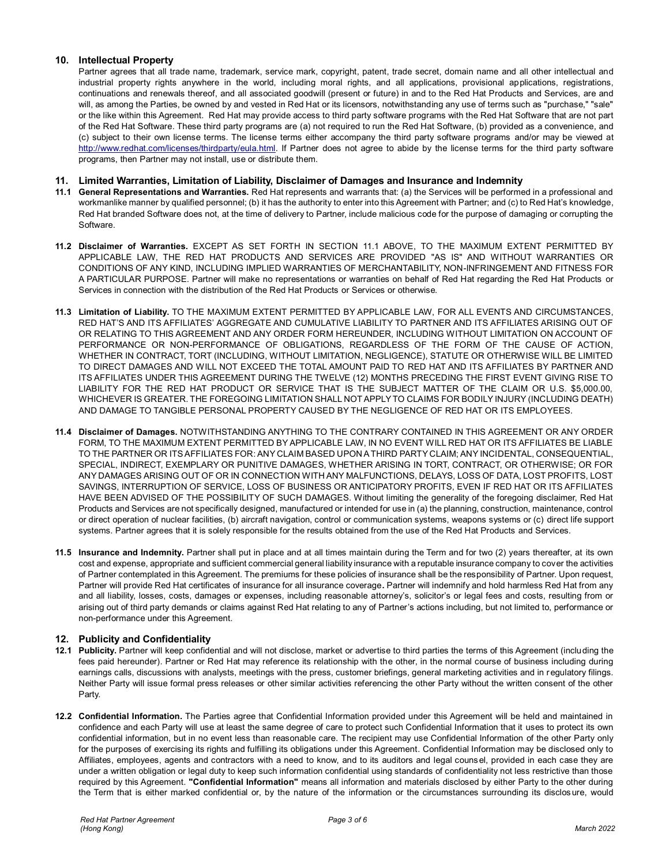# **10. Intellectual Property**

Partner agrees that all trade name, trademark, service mark, copyright, patent, trade secret, domain name and all other intellectual and industrial property rights anywhere in the world, including moral rights, and all applications, provisional applications, registrations, continuations and renewals thereof, and all associated goodwill (present or future) in and to the Red Hat Products and Services, are and will, as among the Parties, be owned by and vested in Red Hat or its licensors, notwithstanding any use of terms such as "purchase," "sale" or the like within this Agreement. Red Hat may provide access to third party software programs with the Red Hat Software that are not part of the Red Hat Software. These third party programs are (a) not required to run the Red Hat Software, (b) provided as a convenience, and (c) subject to their own license terms. The license terms either accompany the third party software programs and/or may be viewed at [http://www.redhat.com/licenses/thirdparty/eula.html.](http://www.redhat.com/licenses/thirdparty/eula.html) If Partner does not agree to abide by the license terms for the third party software programs, then Partner may not install, use or distribute them.

## **11. Limited Warranties, Limitation of Liability, Disclaimer of Damages and Insurance and Indemnity**

- **11.1 General Representations and Warranties.** Red Hat represents and warrants that: (a) the Services will be performed in a professional and workmanlike manner by qualified personnel; (b) it has the authority to enter into this Agreement with Partner; and (c) to Red Hat's knowledge, Red Hat branded Software does not, at the time of delivery to Partner, include malicious code for the purpose of damaging or corrupting the Software.
- **11.2 Disclaimer of Warranties.** EXCEPT AS SET FORTH IN SECTION 11.1 ABOVE, TO THE MAXIMUM EXTENT PERMITTED BY APPLICABLE LAW, THE RED HAT PRODUCTS AND SERVICES ARE PROVIDED "AS IS" AND WITHOUT WARRANTIES OR CONDITIONS OF ANY KIND, INCLUDING IMPLIED WARRANTIES OF MERCHANTABILITY, NON-INFRINGEMENT AND FITNESS FOR A PARTICULAR PURPOSE. Partner will make no representations or warranties on behalf of Red Hat regarding the Red Hat Products or Services in connection with the distribution of the Red Hat Products or Services or otherwise.
- **11.3 Limitation of Liability.** TO THE MAXIMUM EXTENT PERMITTED BY APPLICABLE LAW, FOR ALL EVENTS AND CIRCUMSTANCES, RED HAT'S AND ITS AFFILIATES' AGGREGATE AND CUMULATIVE LIABILITY TO PARTNER AND ITS AFFILIATES ARISING OUT OF OR RELATING TO THIS AGREEMENT AND ANY ORDER FORM HEREUNDER, INCLUDING WITHOUT LIMITATION ON ACCOUNT OF PERFORMANCE OR NON-PERFORMANCE OF OBLIGATIONS, REGARDLESS OF THE FORM OF THE CAUSE OF ACTION, WHETHER IN CONTRACT, TORT (INCLUDING, WITHOUT LIMITATION, NEGLIGENCE), STATUTE OR OTHERWISE WILL BE LIMITED TO DIRECT DAMAGES AND WILL NOT EXCEED THE TOTAL AMOUNT PAID TO RED HAT AND ITS AFFILIATES BY PARTNER AND ITS AFFILIATES UNDER THIS AGREEMENT DURING THE TWELVE (12) MONTHS PRECEDING THE FIRST EVENT GIVING RISE TO LIABILITY FOR THE RED HAT PRODUCT OR SERVICE THAT IS THE SUBJECT MATTER OF THE CLAIM OR U.S. \$5,000.00, WHICHEVER IS GREATER. THE FOREGOING LIMITATION SHALL NOT APPLY TO CLAIMS FOR BODILY INJURY (INCLUDING DEATH) AND DAMAGE TO TANGIBLE PERSONAL PROPERTY CAUSED BY THE NEGLIGENCE OF RED HAT OR ITS EMPLOYEES.
- **11.4 Disclaimer of Damages.** NOTWITHSTANDING ANYTHING TO THE CONTRARY CONTAINED IN THIS AGREEMENT OR ANY ORDER FORM, TO THE MAXIMUM EXTENT PERMITTED BY APPLICABLE LAW, IN NO EVENT WILL RED HAT OR ITS AFFILIATES BE LIABLE TO THE PARTNER OR ITS AFFILIATES FOR: ANY CLAIM BASED UPON A THIRD PARTY CLAIM; ANY INCIDENTAL, CONSEQUENTIAL, SPECIAL, INDIRECT, EXEMPLARY OR PUNITIVE DAMAGES, WHETHER ARISING IN TORT, CONTRACT, OR OTHERWISE; OR FOR ANY DAMAGES ARISING OUT OF OR IN CONNECTION WITH ANY MALFUNCTIONS, DELAYS, LOSS OF DATA, LOST PROFITS, LOST SAVINGS, INTERRUPTION OF SERVICE, LOSS OF BUSINESS OR ANTICIPATORY PROFITS, EVEN IF RED HAT OR ITS AFFILIATES HAVE BEEN ADVISED OF THE POSSIBILITY OF SUCH DAMAGES. Without limiting the generality of the foregoing disclaimer, Red Hat Products and Services are not specifically designed, manufactured or intended for use in (a) the planning, construction, maintenance, control or direct operation of nuclear facilities, (b) aircraft navigation, control or communication systems, weapons systems or (c) direct life support systems. Partner agrees that it is solely responsible for the results obtained from the use of the Red Hat Products and Services.
- **11.5 Insurance and Indemnity.** Partner shall put in place and at all times maintain during the Term and for two (2) years thereafter, at its own cost and expense, appropriate and sufficient commercial general liability insurance with a reputable insurance company to cover the activities of Partner contemplated in this Agreement. The premiums for these policies of insurance shall be the responsibility of Partner. Upon request, Partner will provide Red Hat certificates of insurance for all insurance coverage**.** Partner will indemnify and hold harmless Red Hat from any and all liability, losses, costs, damages or expenses, including reasonable attorney's, solicitor's or legal fees and costs, resulting from or arising out of third party demands or claims against Red Hat relating to any of Partner's actions including, but not limited to, performance or non-performance under this Agreement.

# **12. Publicity and Confidentiality**

- **12.1 Publicity.** Partner will keep confidential and will not disclose, market or advertise to third parties the terms of this Agreement (including the fees paid hereunder). Partner or Red Hat may reference its relationship with the other, in the normal course of business including during earnings calls, discussions with analysts, meetings with the press, customer briefings, general marketing activities and in regulatory filings. Neither Party will issue formal press releases or other similar activities referencing the other Party without the written consent of the other Party.
- **12.2 Confidential Information.** The Parties agree that Confidential Information provided under this Agreement will be held and maintained in confidence and each Party will use at least the same degree of care to protect such Confidential Information that it uses to protect its own confidential information, but in no event less than reasonable care. The recipient may use Confidential Information of the other Party only for the purposes of exercising its rights and fulfilling its obligations under this Agreement. Confidential Information may be disclosed only to Affiliates, employees, agents and contractors with a need to know, and to its auditors and legal counsel, provided in each case they are under a written obligation or legal duty to keep such information confidential using standards of confidentiality not less restrictive than those required by this Agreement. **"Confidential Information"** means all information and materials disclosed by either Party to the other during the Term that is either marked confidential or, by the nature of the information or the circumstances surrounding its disclos ure, would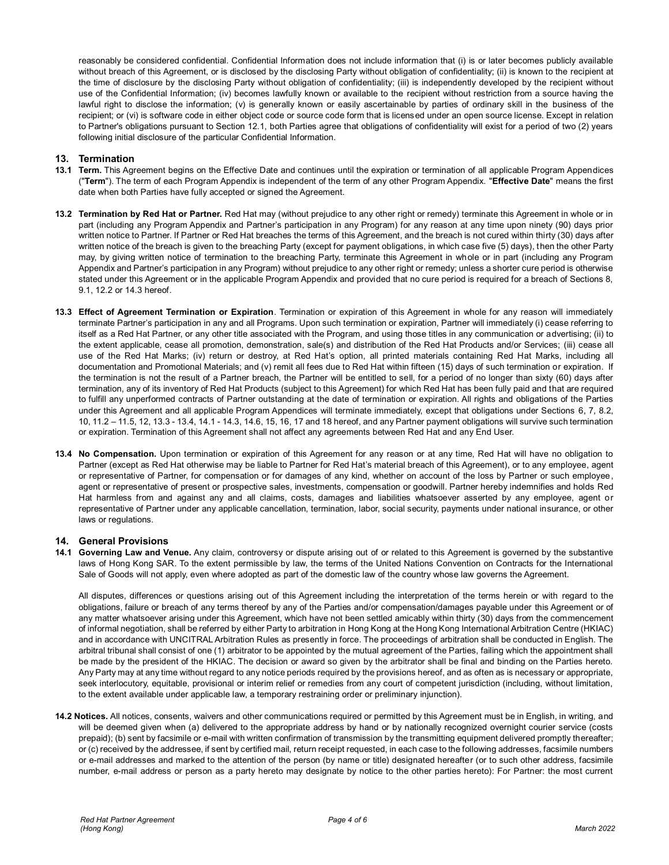reasonably be considered confidential. Confidential Information does not include information that (i) is or later becomes publicly available without breach of this Agreement, or is disclosed by the disclosing Party without obligation of confidentiality; (ii) is known to the recipient at the time of disclosure by the disclosing Party without obligation of confidentiality; (iii) is independently developed by the recipient without use of the Confidential Information; (iv) becomes lawfully known or available to the recipient without restriction from a source having the lawful right to disclose the information; (v) is generally known or easily ascertainable by parties of ordinary skill in the business of the recipient; or (vi) is software code in either object code or source code form that is licensed under an open source license. Except in relation to Partner's obligations pursuant to Section 12.1, both Parties agree that obligations of confidentiality will exist for a period of two (2) years following initial disclosure of the particular Confidential Information.

### **13. Termination**

- **13.1 Term.** This Agreement begins on the Effective Date and continues until the expiration or termination of all applicable Program Appendices ("**Term**"). The term of each Program Appendix is independent of the term of any other Program Appendix. "**Effective Date**" means the first date when both Parties have fully accepted or signed the Agreement.
- **13.2 Termination by Red Hat or Partner.** Red Hat may (without prejudice to any other right or remedy) terminate this Agreement in whole or in part (including any Program Appendix and Partner's participation in any Program) for any reason at any time upon ninety (90) days prior written notice to Partner. If Partner or Red Hat breaches the terms of this Agreement, and the breach is not cured within thirty (30) days after written notice of the breach is given to the breaching Party (except for payment obligations, in which case five (5) days), then the other Party may, by giving written notice of termination to the breaching Party, terminate this Agreement in whole or in part (including any Program Appendix and Partner's participation in any Program) without prejudice to any other right or remedy; unless a shorter cure period is otherwise stated under this Agreement or in the applicable Program Appendix and provided that no cure period is required for a breach of Sections 8, 9.1, 12.2 or 14.3 hereof.
- **13.3 Effect of Agreement Termination or Expiration**. Termination or expiration of this Agreement in whole for any reason will immediately terminate Partner's participation in any and all Programs. Upon such termination or expiration, Partner will immediately (i) cease referring to itself as a Red Hat Partner, or any other title associated with the Program, and using those titles in any communication or advertising; (ii) to the extent applicable, cease all promotion, demonstration, sale(s) and distribution of the Red Hat Products and/or Services; (iii) cease all use of the Red Hat Marks; (iv) return or destroy, at Red Hat's option, all printed materials containing Red Hat Marks, including all documentation and Promotional Materials; and (v) remit all fees due to Red Hat within fifteen (15) days of such termination or expiration. If the termination is not the result of a Partner breach, the Partner will be entitled to sell, for a period of no longer than sixty (60) days after termination, any of its inventory of Red Hat Products (subject to this Agreement) for which Red Hat has been fully paid and that are required to fulfill any unperformed contracts of Partner outstanding at the date of termination or expiration. All rights and obligations of the Parties under this Agreement and all applicable Program Appendices will terminate immediately, except that obligations under Sections 6, 7, 8.2, 10, 11.2 – 11.5, 12, 13.3 - 13.4, 14.1 - 14.3, 14.6, 15, 16, 17 and 18 hereof, and any Partner payment obligations will survive such termination or expiration. Termination of this Agreement shall not affect any agreements between Red Hat and any End User.
- **13.4 No Compensation.** Upon termination or expiration of this Agreement for any reason or at any time, Red Hat will have no obligation to Partner (except as Red Hat otherwise may be liable to Partner for Red Hat's material breach of this Agreement), or to any employee, agent or representative of Partner, for compensation or for damages of any kind, whether on account of the loss by Partner or such employee, agent or representative of present or prospective sales, investments, compensation or goodwill. Partner hereby indemnifies and holds Red Hat harmless from and against any and all claims, costs, damages and liabilities whatsoever asserted by any employee, agent or representative of Partner under any applicable cancellation, termination, labor, social security, payments under national insurance, or other laws or regulations.

### **14. General Provisions**

**14.1 Governing Law and Venue.** Any claim, controversy or dispute arising out of or related to this Agreement is governed by the substantive laws of Hong Kong SAR. To the extent permissible by law, the terms of the United Nations Convention on Contracts for the International Sale of Goods will not apply, even where adopted as part of the domestic law of the country whose law governs the Agreement.

All disputes, differences or questions arising out of this Agreement including the interpretation of the terms herein or with regard to the obligations, failure or breach of any terms thereof by any of the Parties and/or compensation/damages payable under this Agreement or of any matter whatsoever arising under this Agreement, which have not been settled amicably within thirty (30) days from the commencement of informal negotiation, shall be referred by either Party to arbitration in Hong Kong at the Hong Kong International Arbitration Centre (HKIAC) and in accordance with UNCITRAL Arbitration Rules as presently in force. The proceedings of arbitration shall be conducted in English. The arbitral tribunal shall consist of one (1) arbitrator to be appointed by the mutual agreement of the Parties, failing which the appointment shall be made by the president of the HKIAC. The decision or award so given by the arbitrator shall be final and binding on the Parties hereto. Any Party may at any time without regard to any notice periods required by the provisions hereof, and as often as is necessary or appropriate, seek interlocutory, equitable, provisional or interim relief or remedies from any court of competent jurisdiction (including, without limitation, to the extent available under applicable law, a temporary restraining order or preliminary injunction).

**14.2 Notices.** All notices, consents, waivers and other communications required or permitted by this Agreement must be in English, in writing, and will be deemed given when (a) delivered to the appropriate address by hand or by nationally recognized overnight courier service (costs prepaid); (b) sent by facsimile or e-mail with written confirmation of transmission by the transmitting equipment delivered promptly thereafter; or (c) received by the addressee, if sent by certified mail, return receipt requested, in each case to the following addresses, facsimile numbers or e-mail addresses and marked to the attention of the person (by name or title) designated hereafter (or to such other address, facsimile number, e-mail address or person as a party hereto may designate by notice to the other parties hereto): For Partner: the most current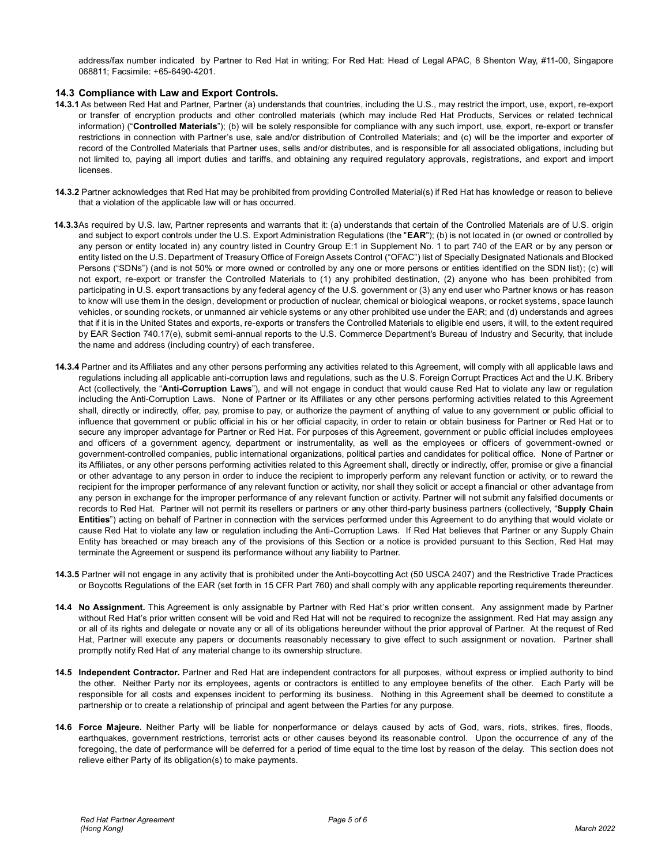address/fax number indicated by Partner to Red Hat in writing; For Red Hat: Head of Legal APAC, 8 Shenton Way, #11-00, Singapore 068811; Facsimile: +65-6490-4201.

### **14.3 Compliance with Law and Export Controls.**

- **14.3.1** As between Red Hat and Partner, Partner (a) understands that countries, including the U.S., may restrict the import, use, export, re-export or transfer of encryption products and other controlled materials (which may include Red Hat Products, Services or related technical information) ("**Controlled Materials**"); (b) will be solely responsible for compliance with any such import, use, export, re-export or transfer restrictions in connection with Partner's use, sale and/or distribution of Controlled Materials; and (c) will be the importer and exporter of record of the Controlled Materials that Partner uses, sells and/or distributes, and is responsible for all associated obligations, including but not limited to, paying all import duties and tariffs, and obtaining any required regulatory approvals, registrations, and export and import licenses.
- **14.3.2** Partner acknowledges that Red Hat may be prohibited from providing Controlled Material(s) if Red Hat has knowledge or reason to believe that a violation of the applicable law will or has occurred.
- **14.3.3**As required by U.S. law, Partner represents and warrants that it: (a) understands that certain of the Controlled Materials are of U.S. origin and subject to export controls under the U.S. Export Administration Regulations (the "**EAR**"); (b) is not located in (or owned or controlled by any person or entity located in) any country listed in Country Group E:1 in Supplement No. 1 to part 740 of the EAR or by any person or entity listed on the U.S. Department of Treasury Office of Foreign Assets Control ("OFAC") list of Specially Designated Nationals and Blocked Persons ("SDNs") (and is not 50% or more owned or controlled by any one or more persons or entities identified on the SDN list); (c) will not export, re-export or transfer the Controlled Materials to (1) any prohibited destination, (2) anyone who has been prohibited from participating in U.S. export transactions by any federal agency of the U.S. government or (3) any end user who Partner knows or has reason to know will use them in the design, development or production of nuclear, chemical or biological weapons, or rocket systems, space launch vehicles, or sounding rockets, or unmanned air vehicle systems or any other prohibited use under the EAR; and (d) understands and agrees that if it is in the United States and exports, re-exports or transfers the Controlled Materials to eligible end users, it will, to the extent required by EAR Section 740.17(e), submit semi-annual reports to the U.S. Commerce Department's Bureau of Industry and Security, that include the name and address (including country) of each transferee.
- **14.3.4** Partner and its Affiliates and any other persons performing any activities related to this Agreement, will comply with all applicable laws and regulations including all applicable anti-corruption laws and regulations, such as the U.S. Foreign Corrupt Practices Act and the U.K. Bribery Act (collectively, the "**Anti-Corruption Laws**"), and will not engage in conduct that would cause Red Hat to violate any law or regulation including the Anti-Corruption Laws. None of Partner or its Affiliates or any other persons performing activities related to this Agreement shall, directly or indirectly, offer, pay, promise to pay, or authorize the payment of anything of value to any government or public official to influence that government or public official in his or her official capacity, in order to retain or obtain business for Partner or Red Hat or to secure any improper advantage for Partner or Red Hat. For purposes of this Agreement, government or public official includes employees and officers of a government agency, department or instrumentality, as well as the employees or officers of government-owned or government-controlled companies, public international organizations, political parties and candidates for political office. None of Partner or its Affiliates, or any other persons performing activities related to this Agreement shall, directly or indirectly, offer, promise or give a financial or other advantage to any person in order to induce the recipient to improperly perform any relevant function or activity, or to reward the recipient for the improper performance of any relevant function or activity, nor shall they solicit or accept a financial or other advantage from any person in exchange for the improper performance of any relevant function or activity. Partner will not submit any falsified documents or records to Red Hat. Partner will not permit its resellers or partners or any other third-party business partners (collectively, "**Supply Chain Entities**") acting on behalf of Partner in connection with the services performed under this Agreement to do anything that would violate or cause Red Hat to violate any law or regulation including the Anti-Corruption Laws. If Red Hat believes that Partner or any Supply Chain Entity has breached or may breach any of the provisions of this Section or a notice is provided pursuant to this Section, Red Hat may terminate the Agreement or suspend its performance without any liability to Partner.
- **14.3.5** Partner will not engage in any activity that is prohibited under the Anti-boycotting Act (50 USCA 2407) and the Restrictive Trade Practices or Boycotts Regulations of the EAR (set forth in 15 CFR Part 760) and shall comply with any applicable reporting requirements thereunder.
- **14.4 No Assignment.** This Agreement is only assignable by Partner with Red Hat's prior written consent. Any assignment made by Partner without Red Hat's prior written consent will be void and Red Hat will not be required to recognize the assignment. Red Hat may assign any or all of its rights and delegate or novate any or all of its obligations hereunder without the prior approval of Partner. At the request of Red Hat, Partner will execute any papers or documents reasonably necessary to give effect to such assignment or novation. Partner shall promptly notify Red Hat of any material change to its ownership structure.
- **14.5 Independent Contractor.** Partner and Red Hat are independent contractors for all purposes, without express or implied authority to bind the other. Neither Party nor its employees, agents or contractors is entitled to any employee benefits of the other. Each Party will be responsible for all costs and expenses incident to performing its business. Nothing in this Agreement shall be deemed to constitute a partnership or to create a relationship of principal and agent between the Parties for any purpose.
- **14.6 Force Majeure.** Neither Party will be liable for nonperformance or delays caused by acts of God, wars, riots, strikes, fires, floods, earthquakes, government restrictions, terrorist acts or other causes beyond its reasonable control. Upon the occurrence of any of the foregoing, the date of performance will be deferred for a period of time equal to the time lost by reason of the delay. This section does not relieve either Party of its obligation(s) to make payments.